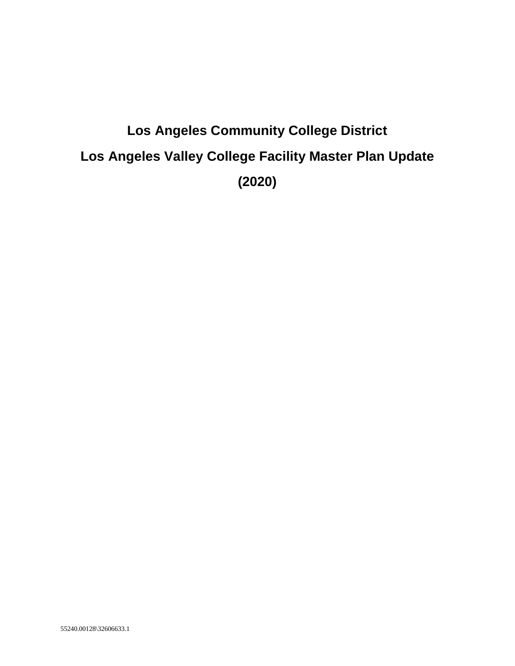# **Los Angeles Community College District Los Angeles Valley College Facility Master Plan Update (2020)**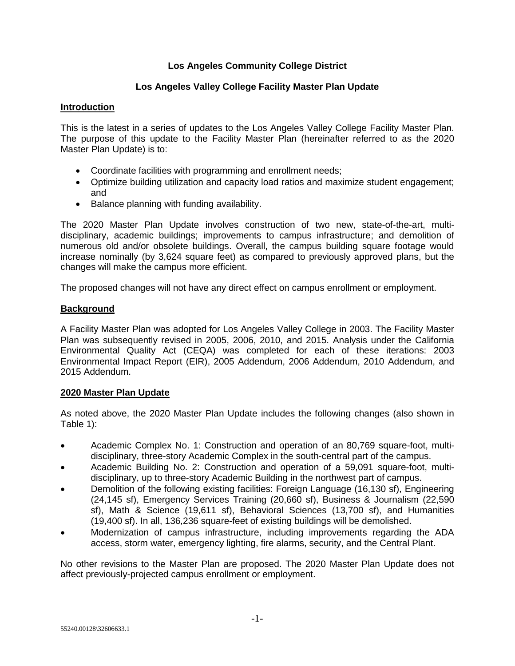## **Los Angeles Community College District**

## **Los Angeles Valley College Facility Master Plan Update**

## **Introduction**

This is the latest in a series of updates to the Los Angeles Valley College Facility Master Plan. The purpose of this update to the Facility Master Plan (hereinafter referred to as the 2020 Master Plan Update) is to:

- Coordinate facilities with programming and enrollment needs;
- Optimize building utilization and capacity load ratios and maximize student engagement; and
- Balance planning with funding availability.

The 2020 Master Plan Update involves construction of two new, state-of-the-art, multidisciplinary, academic buildings; improvements to campus infrastructure; and demolition of numerous old and/or obsolete buildings. Overall, the campus building square footage would increase nominally (by 3,624 square feet) as compared to previously approved plans, but the changes will make the campus more efficient.

The proposed changes will not have any direct effect on campus enrollment or employment.

# **Background**

A Facility Master Plan was adopted for Los Angeles Valley College in 2003. The Facility Master Plan was subsequently revised in 2005, 2006, 2010, and 2015. Analysis under the California Environmental Quality Act (CEQA) was completed for each of these iterations: 2003 Environmental Impact Report (EIR), 2005 Addendum, 2006 Addendum, 2010 Addendum, and 2015 Addendum.

## **2020 Master Plan Update**

As noted above, the 2020 Master Plan Update includes the following changes (also shown in Table 1):

- Academic Complex No. 1: Construction and operation of an 80,769 square-foot, multidisciplinary, three-story Academic Complex in the south-central part of the campus.
- Academic Building No. 2: Construction and operation of a 59,091 square-foot, multidisciplinary, up to three-story Academic Building in the northwest part of campus.
- Demolition of the following existing facilities: Foreign Language (16,130 sf), Engineering (24,145 sf), Emergency Services Training (20,660 sf), Business & Journalism (22,590 sf), Math & Science (19,611 sf), Behavioral Sciences (13,700 sf), and Humanities (19,400 sf). In all, 136,236 square-feet of existing buildings will be demolished.
- Modernization of campus infrastructure, including improvements regarding the ADA access, storm water, emergency lighting, fire alarms, security, and the Central Plant.

No other revisions to the Master Plan are proposed. The 2020 Master Plan Update does not affect previously-projected campus enrollment or employment.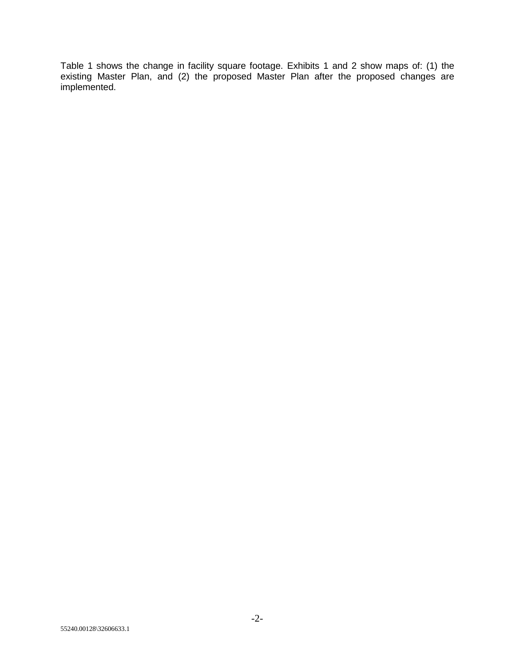Table 1 shows the change in facility square footage. Exhibits 1 and 2 show maps of: (1) the existing Master Plan, and (2) the proposed Master Plan after the proposed changes are implemented.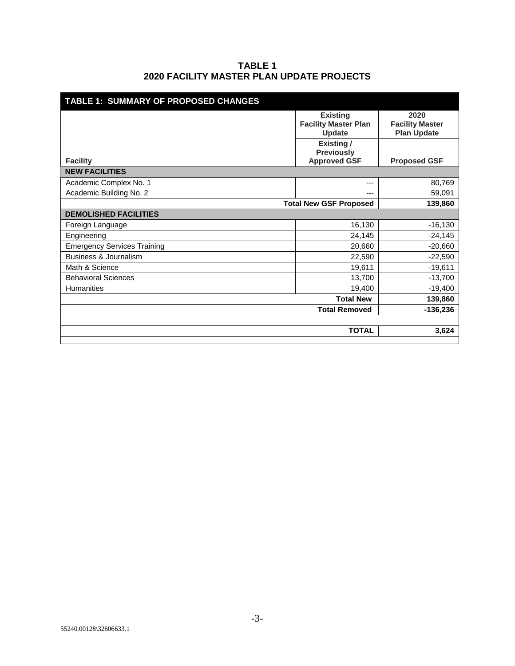## **TABLE 1 2020 FACILITY MASTER PLAN UPDATE PROJECTS**

| TABLE 1: SUMMARY OF PROPOSED CHANGES     |                                                                 |                                                      |
|------------------------------------------|-----------------------------------------------------------------|------------------------------------------------------|
|                                          | <b>Existing</b><br><b>Facility Master Plan</b><br><b>Update</b> | 2020<br><b>Facility Master</b><br><b>Plan Update</b> |
|                                          | Existing /<br><b>Previously</b>                                 |                                                      |
| <b>Facility</b>                          | <b>Approved GSF</b>                                             | <b>Proposed GSF</b>                                  |
| <b>NEW FACILITIES</b>                    |                                                                 |                                                      |
| Academic Complex No. 1                   | ---                                                             | 80,769                                               |
| Academic Building No. 2                  | ---                                                             | 59,091                                               |
| <b>Total New GSF Proposed</b><br>139,860 |                                                                 |                                                      |
| <b>DEMOLISHED FACILITIES</b>             |                                                                 |                                                      |
| Foreign Language                         | 16,130                                                          | $-16,130$                                            |
| Engineering                              | 24,145                                                          | $-24,145$                                            |
| <b>Emergency Services Training</b>       | 20,660                                                          | $-20,660$                                            |
| <b>Business &amp; Journalism</b>         | 22,590                                                          | $-22,590$                                            |
| Math & Science                           | 19,611                                                          | $-19,611$                                            |
| <b>Behavioral Sciences</b>               | 13,700                                                          | $-13,700$                                            |
| <b>Humanities</b>                        | 19,400                                                          | $-19,400$                                            |
|                                          | <b>Total New</b>                                                | 139,860                                              |
|                                          | <b>Total Removed</b>                                            | $-136,236$                                           |
|                                          |                                                                 |                                                      |
|                                          | <b>TOTAL</b>                                                    | 3,624                                                |
|                                          |                                                                 |                                                      |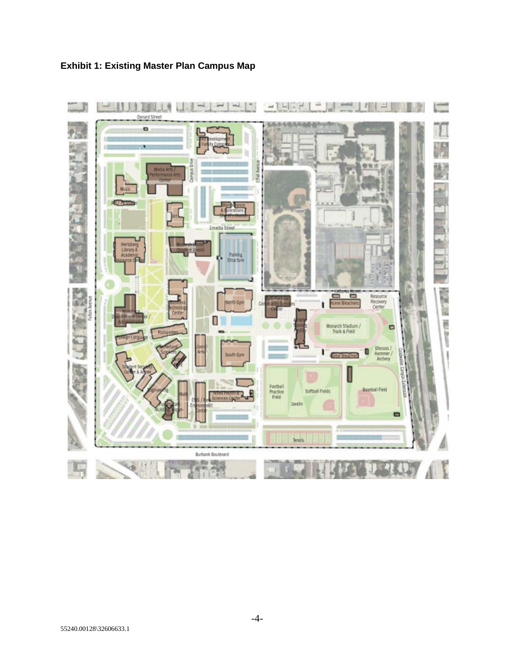

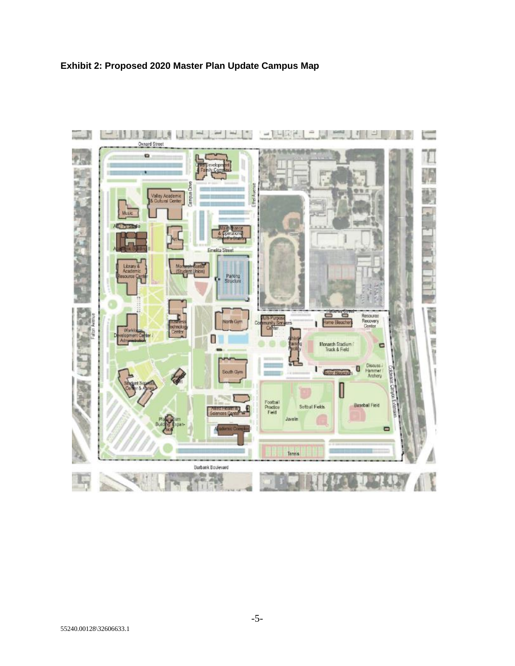